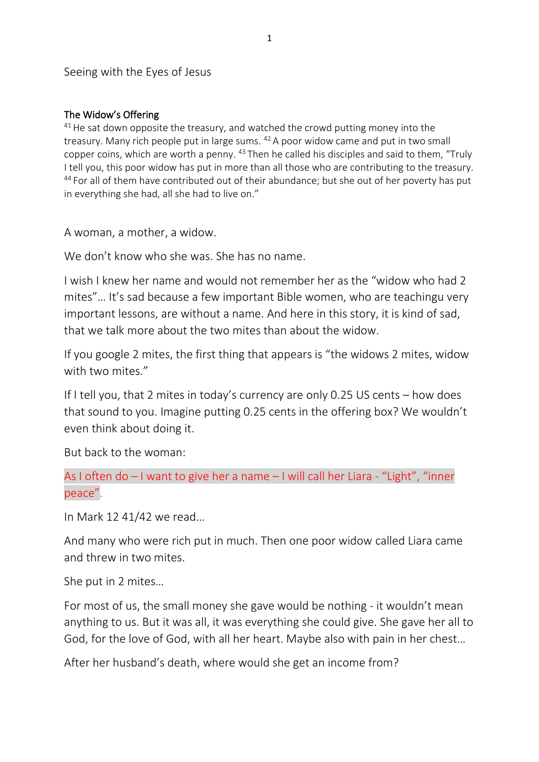Seeing with the Eyes of Jesus

## The Widow's Offering

 $41$  He sat down opposite the treasury, and watched the crowd putting money into the treasury. Many rich people put in large sums.  $42A$  poor widow came and put in two small copper coins, which are worth a penny. <sup>43</sup> Then he called his disciples and said to them, "Truly I tell you, this poor widow has put in more than all those who are contributing to the treasury. <sup>44</sup> For all of them have contributed out of their abundance; but she out of her poverty has put in everything she had, all she had to live on."

A woman, a mother, a widow.

We don't know who she was. She has no name.

I wish I knew her name and would not remember her as the "widow who had 2 mites"… It's sad because a few important Bible women, who are teachingu very important lessons, are without a name. And here in this story, it is kind of sad, that we talk more about the two mites than about the widow.

If you google 2 mites, the first thing that appears is "the widows 2 mites, widow with two mites."

If I tell you, that 2 mites in today's currency are only 0.25 US cents – how does that sound to you. Imagine putting 0.25 cents in the offering box? We wouldn't even think about doing it.

But back to the woman:

As I often do – I want to give her a name – I will call her Liara - "Light", "inner peace".

In Mark 12 41/42 we read…

And many who were rich put in much. Then one poor widow called Liara came and threw in two mites.

She put in 2 mites…

For most of us, the small money she gave would be nothing - it wouldn't mean anything to us. But it was all, it was everything she could give. She gave her all to God, for the love of God, with all her heart. Maybe also with pain in her chest…

After her husband's death, where would she get an income from?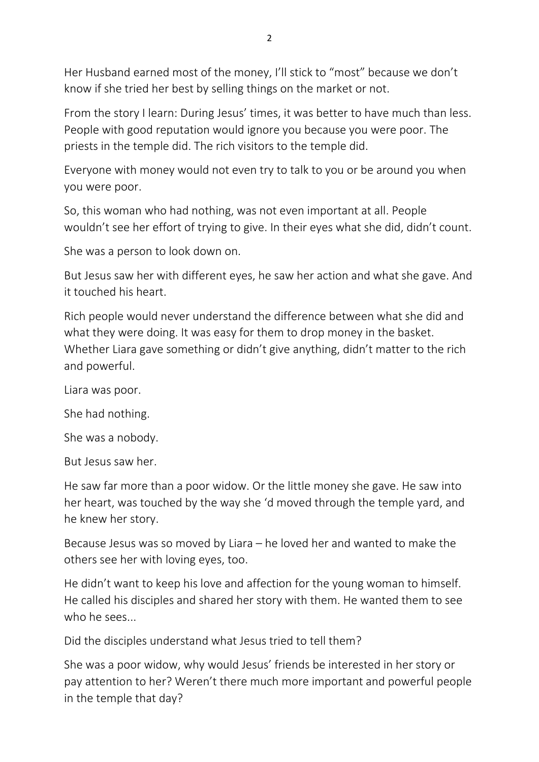Her Husband earned most of the money, I'll stick to "most" because we don't know if she tried her best by selling things on the market or not.

From the story I learn: During Jesus' times, it was better to have much than less. People with good reputation would ignore you because you were poor. The priests in the temple did. The rich visitors to the temple did.

Everyone with money would not even try to talk to you or be around you when you were poor.

So, this woman who had nothing, was not even important at all. People wouldn't see her effort of trying to give. In their eyes what she did, didn't count.

She was a person to look down on.

But Jesus saw her with different eyes, he saw her action and what she gave. And it touched his heart.

Rich people would never understand the difference between what she did and what they were doing. It was easy for them to drop money in the basket. Whether Liara gave something or didn't give anything, didn't matter to the rich and powerful.

Liara was poor.

She had nothing.

She was a nobody.

But Jesus saw her.

He saw far more than a poor widow. Or the little money she gave. He saw into her heart, was touched by the way she 'd moved through the temple yard, and he knew her story.

Because Jesus was so moved by Liara – he loved her and wanted to make the others see her with loving eyes, too.

He didn't want to keep his love and affection for the young woman to himself. He called his disciples and shared her story with them. He wanted them to see who he sees...

Did the disciples understand what Jesus tried to tell them?

She was a poor widow, why would Jesus' friends be interested in her story or pay attention to her? Weren't there much more important and powerful people in the temple that day?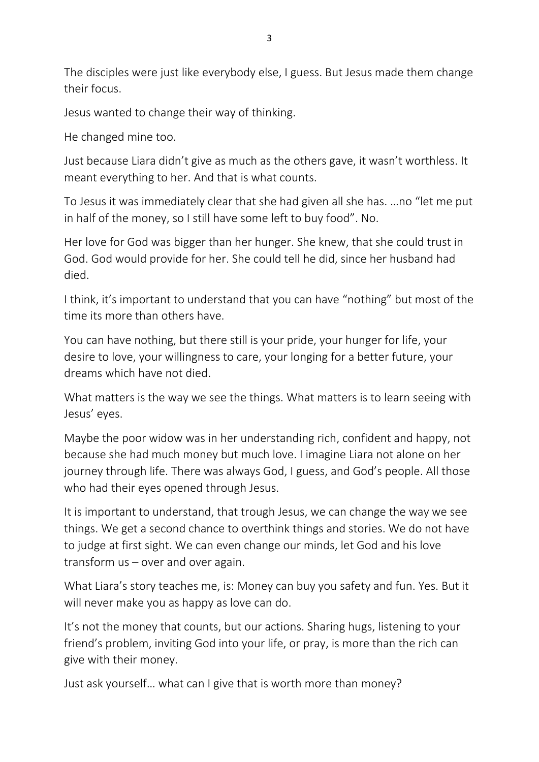The disciples were just like everybody else, I guess. But Jesus made them change their focus.

Jesus wanted to change their way of thinking.

He changed mine too.

Just because Liara didn't give as much as the others gave, it wasn't worthless. It meant everything to her. And that is what counts.

To Jesus it was immediately clear that she had given all she has. …no "let me put in half of the money, so I still have some left to buy food". No.

Her love for God was bigger than her hunger. She knew, that she could trust in God. God would provide for her. She could tell he did, since her husband had died.

I think, it's important to understand that you can have "nothing" but most of the time its more than others have.

You can have nothing, but there still is your pride, your hunger for life, your desire to love, your willingness to care, your longing for a better future, your dreams which have not died.

What matters is the way we see the things. What matters is to learn seeing with Jesus' eyes.

Maybe the poor widow was in her understanding rich, confident and happy, not because she had much money but much love. I imagine Liara not alone on her journey through life. There was always God, I guess, and God's people. All those who had their eyes opened through Jesus.

It is important to understand, that trough Jesus, we can change the way we see things. We get a second chance to overthink things and stories. We do not have to judge at first sight. We can even change our minds, let God and his love transform us – over and over again.

What Liara's story teaches me, is: Money can buy you safety and fun. Yes. But it will never make you as happy as love can do.

It's not the money that counts, but our actions. Sharing hugs, listening to your friend's problem, inviting God into your life, or pray, is more than the rich can give with their money.

Just ask yourself… what can I give that is worth more than money?